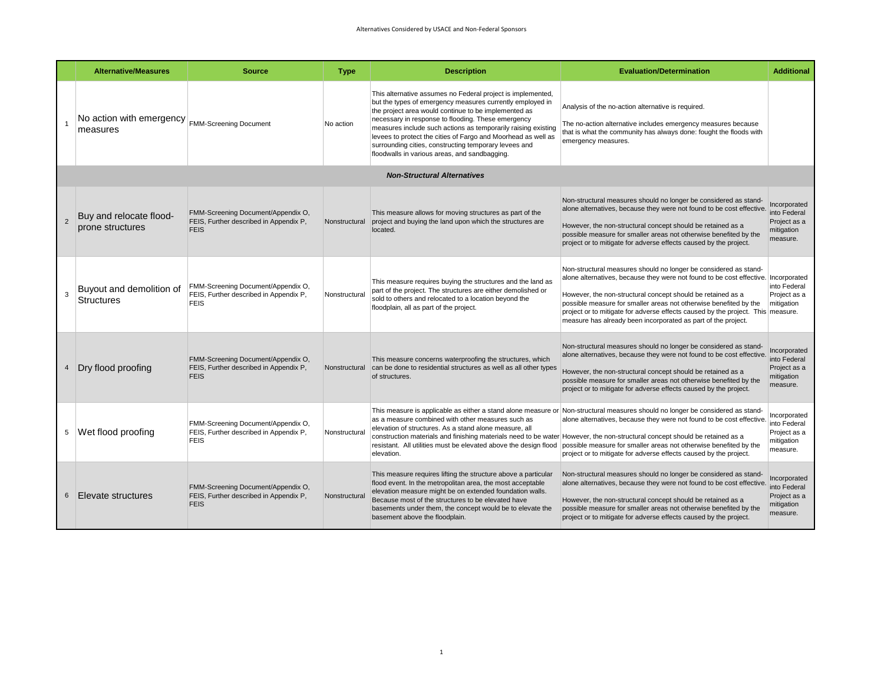|                                    | <b>Alternative/Measures</b>                 | <b>Source</b>                                                                               | <b>Type</b>   | <b>Description</b>                                                                                                                                                                                                                                                                                                                                                                                                                                                                 | <b>Evaluation/Determination</b>                                                                                                                                                                                                                                                                                                                                                                                                   | <b>Additional</b>                                                      |  |  |  |  |
|------------------------------------|---------------------------------------------|---------------------------------------------------------------------------------------------|---------------|------------------------------------------------------------------------------------------------------------------------------------------------------------------------------------------------------------------------------------------------------------------------------------------------------------------------------------------------------------------------------------------------------------------------------------------------------------------------------------|-----------------------------------------------------------------------------------------------------------------------------------------------------------------------------------------------------------------------------------------------------------------------------------------------------------------------------------------------------------------------------------------------------------------------------------|------------------------------------------------------------------------|--|--|--|--|
|                                    | No action with emergency<br>measures        | <b>FMM-Screening Document</b>                                                               | No action     | This alternative assumes no Federal project is implemented,<br>but the types of emergency measures currently employed in<br>the project area would continue to be implemented as<br>necessary in response to flooding. These emergency<br>measures include such actions as temporarily raising existing<br>levees to protect the cities of Fargo and Moorhead as well as<br>surrounding cities, constructing temporary levees and<br>floodwalls in various areas, and sandbagging. | Analysis of the no-action alternative is required.<br>The no-action alternative includes emergency measures because<br>that is what the community has always done: fought the floods with<br>emergency measures.                                                                                                                                                                                                                  |                                                                        |  |  |  |  |
| <b>Non-Structural Alternatives</b> |                                             |                                                                                             |               |                                                                                                                                                                                                                                                                                                                                                                                                                                                                                    |                                                                                                                                                                                                                                                                                                                                                                                                                                   |                                                                        |  |  |  |  |
|                                    | Buy and relocate flood-<br>prone structures | FMM-Screening Document/Appendix O,<br>FEIS, Further described in Appendix P,<br><b>FEIS</b> | Nonstructural | This measure allows for moving structures as part of the<br>project and buying the land upon which the structures are<br>located.                                                                                                                                                                                                                                                                                                                                                  | Non-structural measures should no longer be considered as stand-<br>alone alternatives, because they were not found to be cost effective.<br>However, the non-structural concept should be retained as a<br>possible measure for smaller areas not otherwise benefited by the<br>project or to mitigate for adverse effects caused by the project.                                                                                | Incorporated<br>into Federal<br>Project as a<br>mitigation<br>measure. |  |  |  |  |
| 3                                  | Buyout and demolition of<br>Structures      | FMM-Screening Document/Appendix O,<br>FEIS, Further described in Appendix P,<br><b>FEIS</b> | Nonstructural | This measure requires buying the structures and the land as<br>part of the project. The structures are either demolished or<br>sold to others and relocated to a location beyond the<br>floodplain, all as part of the project.                                                                                                                                                                                                                                                    | Non-structural measures should no longer be considered as stand-<br>alone alternatives, because they were not found to be cost effective.<br>However, the non-structural concept should be retained as a<br>possible measure for smaller areas not otherwise benefited by the<br>project or to mitigate for adverse effects caused by the project. This measure.<br>measure has already been incorporated as part of the project. | Incorporated<br>into Federal<br>Project as a<br>mitigation             |  |  |  |  |
|                                    | Dry flood proofing                          | FMM-Screening Document/Appendix O,<br>FEIS, Further described in Appendix P,<br><b>FEIS</b> | Nonstructural | This measure concerns waterproofing the structures, which<br>can be done to residential structures as well as all other types<br>of structures.                                                                                                                                                                                                                                                                                                                                    | Non-structural measures should no longer be considered as stand-<br>alone alternatives, because they were not found to be cost effective.<br>However, the non-structural concept should be retained as a<br>possible measure for smaller areas not otherwise benefited by the<br>project or to mitigate for adverse effects caused by the project.                                                                                | Incorporated<br>into Federal<br>Project as a<br>mitigation<br>measure. |  |  |  |  |
|                                    | 5 Wet flood proofing                        | FMM-Screening Document/Appendix O,<br>FEIS, Further described in Appendix P,<br><b>FEIS</b> | Nonstructural | This measure is applicable as either a stand alone measure or<br>as a measure combined with other measures such as<br>elevation of structures. As a stand alone measure, all<br>construction materials and finishing materials need to be water<br>resistant. All utilities must be elevated above the design flood<br>elevation.                                                                                                                                                  | Non-structural measures should no longer be considered as stand-<br>alone alternatives, because they were not found to be cost effective.<br>However, the non-structural concept should be retained as a<br>possible measure for smaller areas not otherwise benefited by the<br>project or to mitigate for adverse effects caused by the project.                                                                                | Incorporated<br>into Federal<br>Project as a<br>mitigation<br>measure. |  |  |  |  |
|                                    | Elevate structures                          | FMM-Screening Document/Appendix O,<br>FEIS, Further described in Appendix P,<br><b>FEIS</b> | Nonstructura  | This measure requires lifting the structure above a particular<br>flood event. In the metropolitan area, the most acceptable<br>elevation measure might be on extended foundation walls.<br>Because most of the structures to be elevated have<br>basements under them, the concept would be to elevate the<br>basement above the floodplain.                                                                                                                                      | Non-structural measures should no longer be considered as stand-<br>alone alternatives, because they were not found to be cost effective.<br>However, the non-structural concept should be retained as a<br>possible measure for smaller areas not otherwise benefited by the<br>project or to mitigate for adverse effects caused by the project.                                                                                | Incorporated<br>into Federal<br>Project as a<br>mitigation<br>measure. |  |  |  |  |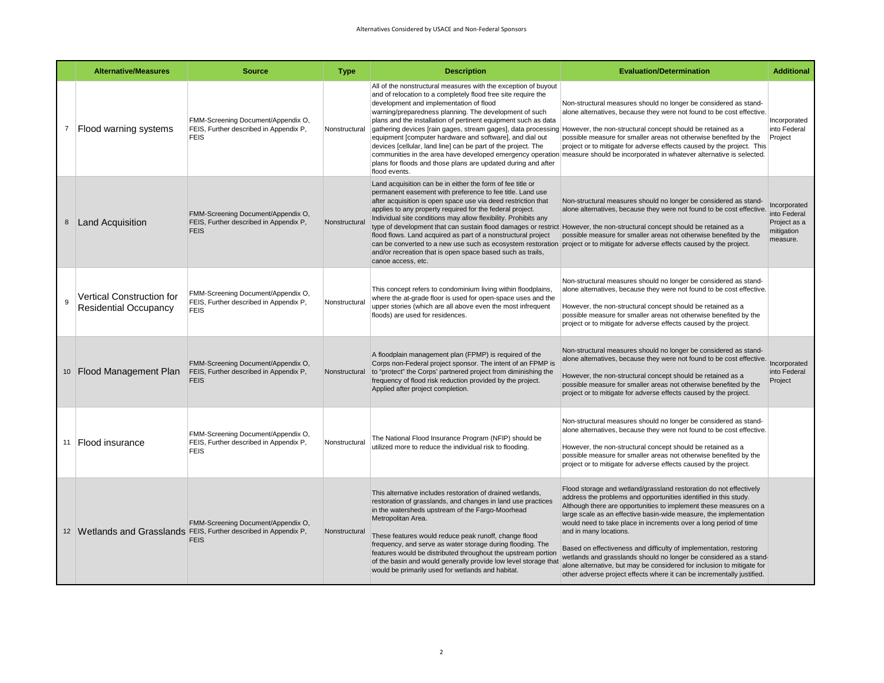|                | <b>Alternative/Measures</b>                                      | <b>Source</b>                                                                                                          | <b>Type</b>   | <b>Description</b>                                                                                                                                                                                                                                                                                                                                                                                                                                                                                                                                                                                                                                 | <b>Evaluation/Determination</b>                                                                                                                                                                                                                                                                                                                                                                                                                                                                                                                                                                                                                                                  | <b>Additional</b>                                                      |
|----------------|------------------------------------------------------------------|------------------------------------------------------------------------------------------------------------------------|---------------|----------------------------------------------------------------------------------------------------------------------------------------------------------------------------------------------------------------------------------------------------------------------------------------------------------------------------------------------------------------------------------------------------------------------------------------------------------------------------------------------------------------------------------------------------------------------------------------------------------------------------------------------------|----------------------------------------------------------------------------------------------------------------------------------------------------------------------------------------------------------------------------------------------------------------------------------------------------------------------------------------------------------------------------------------------------------------------------------------------------------------------------------------------------------------------------------------------------------------------------------------------------------------------------------------------------------------------------------|------------------------------------------------------------------------|
| $\overline{7}$ | Flood warning systems                                            | FMM-Screening Document/Appendix O,<br>FEIS, Further described in Appendix P,<br><b>FEIS</b>                            | Nonstructural | All of the nonstructural measures with the exception of buyout<br>and of relocation to a completely flood free site require the<br>development and implementation of flood<br>warning/preparedness planning. The development of such<br>plans and the installation of pertinent equipment such as data<br>gathering devices [rain gages, stream gages], data processing However, the non-structural concept should be retained as a<br>equipment [computer hardware and software], and dial out<br>devices [cellular, land line] can be part of the project. The<br>plans for floods and those plans are updated during and after<br>flood events. | Non-structural measures should no longer be considered as stand-<br>alone alternatives, because they were not found to be cost effective.<br>possible measure for smaller areas not otherwise benefited by the<br>project or to mitigate for adverse effects caused by the project. This<br>communities in the area have developed emergency operation measure should be incorporated in whatever alternative is selected.                                                                                                                                                                                                                                                       | Incorporated<br>into Federal<br>Project                                |
|                | 8 Land Acquisition                                               | FMM-Screening Document/Appendix O,<br>FEIS, Further described in Appendix P,<br><b>FEIS</b>                            | Nonstructural | Land acquisition can be in either the form of fee title or<br>permanent easement with preference to fee title. Land use<br>after acquisition is open space use via deed restriction that<br>applies to any property required for the federal project.<br>Individual site conditions may allow flexibility. Prohibits any<br>type of development that can sustain flood damages or restrict However, the non-structural concept should be retained as a<br>flood flows. Land acquired as part of a nonstructural project<br>and/or recreation that is open space based such as trails,<br>canoe access, etc.                                        | Non-structural measures should no longer be considered as stand-<br>alone alternatives, because they were not found to be cost effective.<br>possible measure for smaller areas not otherwise benefited by the<br>can be converted to a new use such as ecosystem restoration project or to mitigate for adverse effects caused by the project.                                                                                                                                                                                                                                                                                                                                  | Incorporated<br>into Federal<br>Project as a<br>mitigation<br>measure. |
| 9              | <b>Vertical Construction for</b><br><b>Residential Occupancy</b> | FMM-Screening Document/Appendix O,<br>FEIS, Further described in Appendix P,<br><b>FEIS</b>                            | Nonstructural | This concept refers to condominium living within floodplains,<br>where the at-grade floor is used for open-space uses and the<br>upper stories (which are all above even the most infrequent<br>floods) are used for residences.                                                                                                                                                                                                                                                                                                                                                                                                                   | Non-structural measures should no longer be considered as stand-<br>alone alternatives, because they were not found to be cost effective.<br>However, the non-structural concept should be retained as a<br>possible measure for smaller areas not otherwise benefited by the<br>project or to mitigate for adverse effects caused by the project.                                                                                                                                                                                                                                                                                                                               |                                                                        |
|                | 10 Flood Management Plan                                         | FMM-Screening Document/Appendix O,<br>FEIS, Further described in Appendix P,<br><b>FEIS</b>                            | Nonstructural | A floodplain management plan (FPMP) is required of the<br>Corps non-Federal project sponsor. The intent of an FPMP is<br>to "protect" the Corps' partnered project from diminishing the<br>frequency of flood risk reduction provided by the project.<br>Applied after project completion.                                                                                                                                                                                                                                                                                                                                                         | Non-structural measures should no longer be considered as stand-<br>alone alternatives, because they were not found to be cost effective.<br>However, the non-structural concept should be retained as a<br>possible measure for smaller areas not otherwise benefited by the<br>project or to mitigate for adverse effects caused by the project.                                                                                                                                                                                                                                                                                                                               | Incorporated<br>into Federal<br>Project                                |
|                | 11   Flood insurance                                             | FMM-Screening Document/Appendix O,<br>FEIS, Further described in Appendix P,<br><b>FEIS</b>                            | Nonstructural | The National Flood Insurance Program (NFIP) should be<br>utilized more to reduce the individual risk to flooding.                                                                                                                                                                                                                                                                                                                                                                                                                                                                                                                                  | Non-structural measures should no longer be considered as stand-<br>alone alternatives, because they were not found to be cost effective.<br>However, the non-structural concept should be retained as a<br>possible measure for smaller areas not otherwise benefited by the<br>project or to mitigate for adverse effects caused by the project.                                                                                                                                                                                                                                                                                                                               |                                                                        |
|                |                                                                  | FMM-Screening Document/Appendix O,<br>12 Wetlands and Grasslands FEIS, Further described in Appendix P,<br><b>FEIS</b> | Nonstructural | This alternative includes restoration of drained wetlands,<br>restoration of grasslands, and changes in land use practices<br>in the watersheds upstream of the Fargo-Moorhead<br>Metropolitan Area.<br>These features would reduce peak runoff, change flood<br>frequency, and serve as water storage during flooding. The<br>features would be distributed throughout the upstream portion<br>of the basin and would generally provide low level storage that<br>would be primarily used for wetlands and habitat.                                                                                                                               | Flood storage and wetland/grassland restoration do not effectively<br>address the problems and opportunities identified in this study.<br>Although there are opportunities to implement these measures on a<br>large scale as an effective basin-wide measure, the implementation<br>would need to take place in increments over a long period of time<br>and in many locations.<br>Based on effectiveness and difficulty of implementation, restoring<br>wetlands and grasslands should no longer be considered as a stand-<br>alone alternative, but may be considered for inclusion to mitigate for<br>other adverse project effects where it can be incrementally justified. |                                                                        |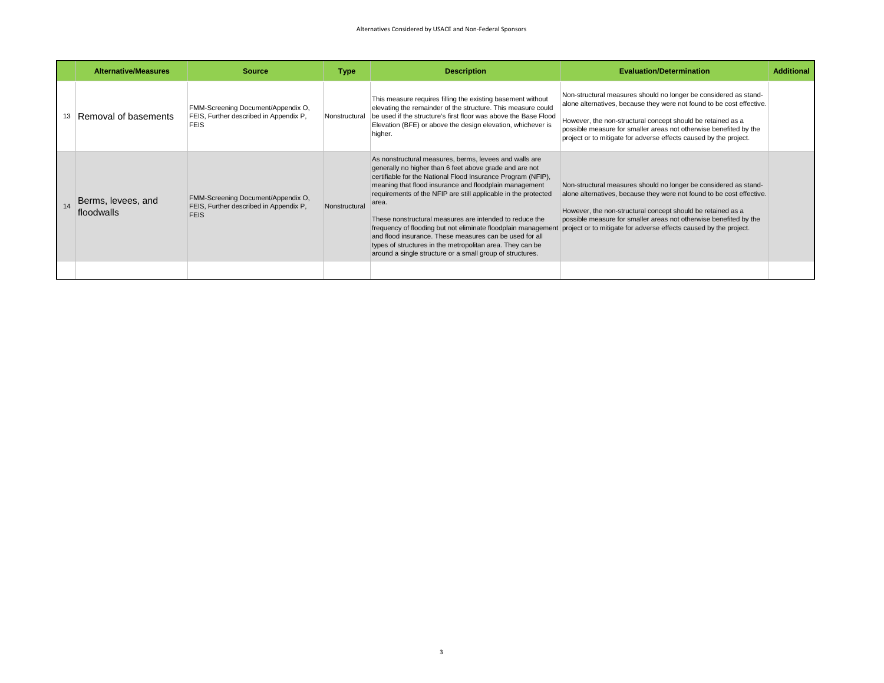| <b>Alternative/Measures</b>      | <b>Source</b>                                                                               | <b>Type</b>   | <b>Description</b>                                                                                                                                                                                                                                                                                                                                                                                                                                                                                                                                                     | <b>Evaluation/Determination</b>                                                                                                                                                                                                                                                                                                                                                                                  | <b>Additional</b> |
|----------------------------------|---------------------------------------------------------------------------------------------|---------------|------------------------------------------------------------------------------------------------------------------------------------------------------------------------------------------------------------------------------------------------------------------------------------------------------------------------------------------------------------------------------------------------------------------------------------------------------------------------------------------------------------------------------------------------------------------------|------------------------------------------------------------------------------------------------------------------------------------------------------------------------------------------------------------------------------------------------------------------------------------------------------------------------------------------------------------------------------------------------------------------|-------------------|
| Removal of basements             | FMM-Screening Document/Appendix O,<br>FEIS, Further described in Appendix P,<br><b>FEIS</b> | Nonstructural | This measure requires filling the existing basement without<br>elevating the remainder of the structure. This measure could<br>be used if the structure's first floor was above the Base Flood<br>Elevation (BFE) or above the design elevation, whichever is<br>higher.                                                                                                                                                                                                                                                                                               | Non-structural measures should no longer be considered as stand-<br>alone alternatives, because they were not found to be cost effective.<br>However, the non-structural concept should be retained as a<br>possible measure for smaller areas not otherwise benefited by the<br>project or to mitigate for adverse effects caused by the project.                                                               |                   |
| Berms, levees, and<br>floodwalls | FMM-Screening Document/Appendix O,<br>FEIS, Further described in Appendix P,<br><b>FEIS</b> | Nonstructural | As nonstructural measures, berms, levees and walls are<br>generally no higher than 6 feet above grade and are not<br>certifiable for the National Flood Insurance Program (NFIP),<br>meaning that flood insurance and floodplain management<br>requirements of the NFIP are still applicable in the protected<br>area.<br>These nonstructural measures are intended to reduce the<br>and flood insurance. These measures can be used for all<br>types of structures in the metropolitan area. They can be<br>around a single structure or a small group of structures. | Non-structural measures should no longer be considered as stand-<br>alone alternatives, because they were not found to be cost effective.<br>However, the non-structural concept should be retained as a<br>possible measure for smaller areas not otherwise benefited by the<br>frequency of flooding but not eliminate floodplain management project or to mitigate for adverse effects caused by the project. |                   |
|                                  |                                                                                             |               |                                                                                                                                                                                                                                                                                                                                                                                                                                                                                                                                                                        |                                                                                                                                                                                                                                                                                                                                                                                                                  |                   |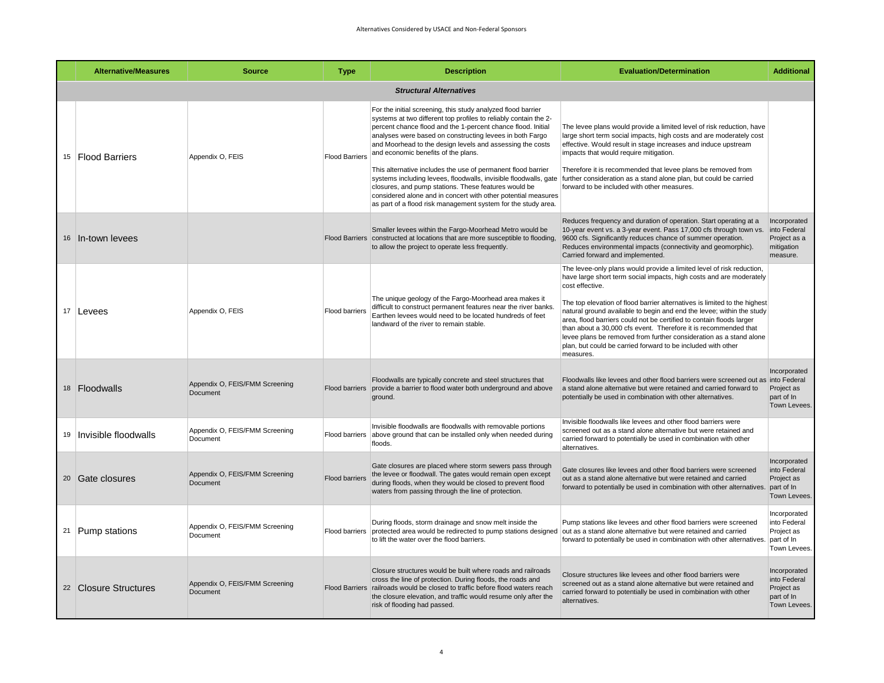| <b>Alternative/Measures</b>    | <b>Source</b>                                     | <b>Type</b>           | <b>Description</b>                                                                                                                                                                                                                                                                                                                                                                                                                                                                                                                                                                                                                                                                             | <b>Evaluation/Determination</b>                                                                                                                                                                                                                                                                                                                                                                                                                                                                                                                                                                                     | <b>Additional</b>                                                        |  |  |  |  |
|--------------------------------|---------------------------------------------------|-----------------------|------------------------------------------------------------------------------------------------------------------------------------------------------------------------------------------------------------------------------------------------------------------------------------------------------------------------------------------------------------------------------------------------------------------------------------------------------------------------------------------------------------------------------------------------------------------------------------------------------------------------------------------------------------------------------------------------|---------------------------------------------------------------------------------------------------------------------------------------------------------------------------------------------------------------------------------------------------------------------------------------------------------------------------------------------------------------------------------------------------------------------------------------------------------------------------------------------------------------------------------------------------------------------------------------------------------------------|--------------------------------------------------------------------------|--|--|--|--|
| <b>Structural Alternatives</b> |                                                   |                       |                                                                                                                                                                                                                                                                                                                                                                                                                                                                                                                                                                                                                                                                                                |                                                                                                                                                                                                                                                                                                                                                                                                                                                                                                                                                                                                                     |                                                                          |  |  |  |  |
| 15 Flood Barriers              | Appendix O, FEIS                                  | <b>Flood Barriers</b> | For the initial screening, this study analyzed flood barrier<br>systems at two different top profiles to reliably contain the 2-<br>percent chance flood and the 1-percent chance flood. Initial<br>analyses were based on constructing levees in both Fargo<br>and Moorhead to the design levels and assessing the costs<br>and economic benefits of the plans.<br>This alternative includes the use of permanent flood barrier<br>systems including levees, floodwalls, invisible floodwalls, gate<br>closures, and pump stations. These features would be<br>considered alone and in concert with other potential measures<br>as part of a flood risk management system for the study area. | The levee plans would provide a limited level of risk reduction, have<br>large short term social impacts, high costs and are moderately cost<br>effective. Would result in stage increases and induce upstream<br>impacts that would require mitigation.<br>Therefore it is recommended that levee plans be removed from<br>further consideration as a stand alone plan, but could be carried<br>forward to be included with other measures.                                                                                                                                                                        |                                                                          |  |  |  |  |
| 16 In-town levees              |                                                   |                       | Smaller levees within the Fargo-Moorhead Metro would be<br>Flood Barriers constructed at locations that are more susceptible to flooding,<br>to allow the project to operate less frequently.                                                                                                                                                                                                                                                                                                                                                                                                                                                                                                  | Reduces frequency and duration of operation. Start operating at a<br>10-year event vs. a 3-year event. Pass 17,000 cfs through town vs.<br>9600 cfs. Significantly reduces chance of summer operation.<br>Reduces environmental impacts (connectivity and geomorphic).<br>Carried forward and implemented.                                                                                                                                                                                                                                                                                                          | Incorporated<br>into Federal<br>Project as a<br>mitigation<br>measure.   |  |  |  |  |
| 17 Levees                      | Appendix O, FEIS                                  | Flood barriers        | The unique geology of the Fargo-Moorhead area makes it<br>difficult to construct permanent features near the river banks.<br>Earthen levees would need to be located hundreds of feet<br>landward of the river to remain stable.                                                                                                                                                                                                                                                                                                                                                                                                                                                               | The levee-only plans would provide a limited level of risk reduction,<br>have large short term social impacts, high costs and are moderately<br>cost effective.<br>The top elevation of flood barrier alternatives is limited to the highest<br>natural ground available to begin and end the levee; within the study<br>area, flood barriers could not be certified to contain floods larger<br>than about a 30,000 cfs event. Therefore it is recommended that<br>levee plans be removed from further consideration as a stand alone<br>plan, but could be carried forward to be included with other<br>measures. |                                                                          |  |  |  |  |
| 18 Floodwalls                  | Appendix O, FEIS/FMM Screening<br><b>Document</b> |                       | Floodwalls are typically concrete and steel structures that<br>Flood barriers provide a barrier to flood water both underground and above<br>ground.                                                                                                                                                                                                                                                                                                                                                                                                                                                                                                                                           | Floodwalls like levees and other flood barriers were screened out as into Federal<br>a stand alone alternative but were retained and carried forward to<br>potentially be used in combination with other alternatives.                                                                                                                                                                                                                                                                                                                                                                                              | Incorporated<br>Project as<br>part of In<br>Town Levees.                 |  |  |  |  |
| 19   Invisible floodwalls      | Appendix O, FEIS/FMM Screening<br>Document        | <b>Flood barriers</b> | Invisible floodwalls are floodwalls with removable portions<br>above ground that can be installed only when needed during<br>floods.                                                                                                                                                                                                                                                                                                                                                                                                                                                                                                                                                           | Invisible floodwalls like levees and other flood barriers were<br>screened out as a stand alone alternative but were retained and<br>carried forward to potentially be used in combination with other<br>alternatives.                                                                                                                                                                                                                                                                                                                                                                                              |                                                                          |  |  |  |  |
| 20 Gate closures               | Appendix O, FEIS/FMM Screening<br>Document        | <b>Flood barriers</b> | Gate closures are placed where storm sewers pass through<br>the levee or floodwall. The gates would remain open except<br>during floods, when they would be closed to prevent flood<br>waters from passing through the line of protection.                                                                                                                                                                                                                                                                                                                                                                                                                                                     | Gate closures like levees and other flood barriers were screened<br>out as a stand alone alternative but were retained and carried<br>forward to potentially be used in combination with other alternatives.                                                                                                                                                                                                                                                                                                                                                                                                        | Incorporated<br>into Federal<br>Project as<br>part of In<br>Town Levees. |  |  |  |  |
| 21 Pump stations               | Appendix O, FEIS/FMM Screening<br>Document        | <b>Flood barriers</b> | During floods, storm drainage and snow melt inside the<br>protected area would be redirected to pump stations designed out as a stand alone alternative but were retained and carried<br>to lift the water over the flood barriers.                                                                                                                                                                                                                                                                                                                                                                                                                                                            | Pump stations like levees and other flood barriers were screened<br>forward to potentially be used in combination with other alternatives.                                                                                                                                                                                                                                                                                                                                                                                                                                                                          | Incorporated<br>into Federal<br>Project as<br>part of In<br>Town Levees. |  |  |  |  |
| 22 Closure Structures          | Appendix O, FEIS/FMM Screening<br><b>Document</b> |                       | Closure structures would be built where roads and railroads<br>cross the line of protection. During floods, the roads and<br>Flood Barriers railroads would be closed to traffic before flood waters reach<br>the closure elevation, and traffic would resume only after the<br>risk of flooding had passed.                                                                                                                                                                                                                                                                                                                                                                                   | Closure structures like levees and other flood barriers were<br>screened out as a stand alone alternative but were retained and<br>carried forward to potentially be used in combination with other<br>alternatives.                                                                                                                                                                                                                                                                                                                                                                                                | Incorporated<br>into Federal<br>Project as<br>part of In<br>Town Levees. |  |  |  |  |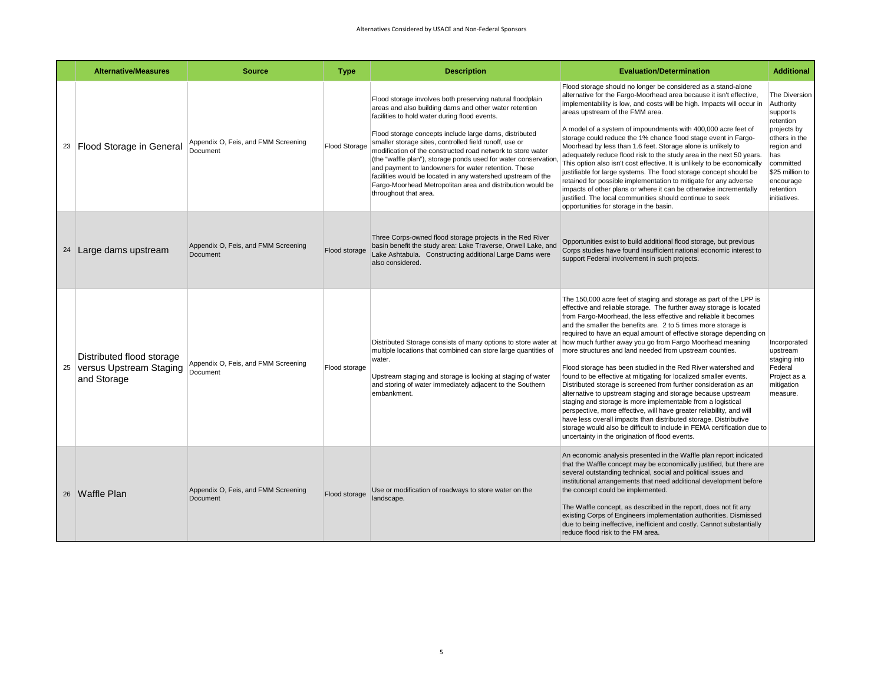| <b>Alternative/Measures</b>                                            | <b>Source</b>                                   | <b>Type</b>          | <b>Description</b>                                                                                                                                                                                                                                                                                                                                                                                                                                                                                                                                                                                                                       | <b>Evaluation/Determination</b>                                                                                                                                                                                                                                                                                                                                                                                                                                                                                                                                                                                                                                                                                                                                                                                                                                                                                                                                                                                                                                                                | <b>Additional</b>                                                                                                                                                                  |
|------------------------------------------------------------------------|-------------------------------------------------|----------------------|------------------------------------------------------------------------------------------------------------------------------------------------------------------------------------------------------------------------------------------------------------------------------------------------------------------------------------------------------------------------------------------------------------------------------------------------------------------------------------------------------------------------------------------------------------------------------------------------------------------------------------------|------------------------------------------------------------------------------------------------------------------------------------------------------------------------------------------------------------------------------------------------------------------------------------------------------------------------------------------------------------------------------------------------------------------------------------------------------------------------------------------------------------------------------------------------------------------------------------------------------------------------------------------------------------------------------------------------------------------------------------------------------------------------------------------------------------------------------------------------------------------------------------------------------------------------------------------------------------------------------------------------------------------------------------------------------------------------------------------------|------------------------------------------------------------------------------------------------------------------------------------------------------------------------------------|
| 23 Flood Storage in General                                            | Appendix O, Feis, and FMM Screening<br>Document | <b>Flood Storage</b> | Flood storage involves both preserving natural floodplain<br>areas and also building dams and other water retention<br>facilities to hold water during flood events.<br>Flood storage concepts include large dams, distributed<br>smaller storage sites, controlled field runoff, use or<br>modification of the constructed road network to store water<br>(the "waffle plan"), storage ponds used for water conservation<br>and payment to landowners for water retention. These<br>facilities would be located in any watershed upstream of the<br>Fargo-Moorhead Metropolitan area and distribution would be<br>throughout that area. | Flood storage should no longer be considered as a stand-alone<br>alternative for the Fargo-Moorhead area because it isn't effective,<br>implementability is low, and costs will be high. Impacts will occur in<br>areas upstream of the FMM area.<br>A model of a system of impoundments with 400,000 acre feet of<br>storage could reduce the 1% chance flood stage event in Fargo-<br>Moorhead by less than 1.6 feet. Storage alone is unlikely to<br>adequately reduce flood risk to the study area in the next 50 years.<br>This option also isn't cost effective. It is unlikely to be economically<br>justifiable for large systems. The flood storage concept should be<br>retained for possible implementation to mitigate for any adverse<br>impacts of other plans or where it can be otherwise incrementally<br>justified. The local communities should continue to seek<br>opportunities for storage in the basin.                                                                                                                                                                 | The Diversion<br>Authority<br>supports<br>retention<br>projects by<br>others in the<br>region and<br>has<br>committed<br>\$25 million to<br>encourage<br>retention<br>initiatives. |
| 24 Large dams upstream                                                 | Appendix O, Feis, and FMM Screening<br>Document | Flood storage        | Three Corps-owned flood storage projects in the Red River<br>basin benefit the study area: Lake Traverse, Orwell Lake, and<br>Lake Ashtabula. Constructing additional Large Dams were<br>also considered.                                                                                                                                                                                                                                                                                                                                                                                                                                | Opportunities exist to build additional flood storage, but previous<br>Corps studies have found insufficient national economic interest to<br>support Federal involvement in such projects.                                                                                                                                                                                                                                                                                                                                                                                                                                                                                                                                                                                                                                                                                                                                                                                                                                                                                                    |                                                                                                                                                                                    |
| Distributed flood storage<br>25 versus Upstream Staging<br>and Storage | Appendix O, Feis, and FMM Screening<br>Document | Flood storage        | Distributed Storage consists of many options to store water at<br>multiple locations that combined can store large quantities of<br>water.<br>Upstream staging and storage is looking at staging of water<br>and storing of water immediately adjacent to the Southern<br>embankment.                                                                                                                                                                                                                                                                                                                                                    | The 150,000 acre feet of staging and storage as part of the LPP is<br>effective and reliable storage. The further away storage is located<br>from Fargo-Moorhead, the less effective and reliable it becomes<br>and the smaller the benefits are. 2 to 5 times more storage is<br>required to have an equal amount of effective storage depending on<br>how much further away you go from Fargo Moorhead meaning<br>more structures and land needed from upstream counties.<br>Flood storage has been studied in the Red River watershed and<br>found to be effective at mitigating for localized smaller events.<br>Distributed storage is screened from further consideration as an<br>alternative to upstream staging and storage because upstream<br>staging and storage is more implementable from a logistical<br>perspective, more effective, will have greater reliability, and will<br>have less overall impacts than distributed storage. Distributive<br>storage would also be difficult to include in FEMA certification due to<br>uncertainty in the origination of flood events. | Incorporated<br>upstream<br>staging into<br>Federal<br>Project as a<br>mitigation<br>measure.                                                                                      |
| 26 Waffle Plan                                                         | Appendix O, Feis, and FMM Screening<br>Document | Flood storage        | Use or modification of roadways to store water on the<br>landscape.                                                                                                                                                                                                                                                                                                                                                                                                                                                                                                                                                                      | An economic analysis presented in the Waffle plan report indicated<br>that the Waffle concept may be economically justified, but there are<br>several outstanding technical, social and political issues and<br>institutional arrangements that need additional development before<br>the concept could be implemented.<br>The Waffle concept, as described in the report, does not fit any<br>existing Corps of Engineers implementation authorities. Dismissed<br>due to being ineffective, inefficient and costly. Cannot substantially<br>reduce flood risk to the FM area.                                                                                                                                                                                                                                                                                                                                                                                                                                                                                                                |                                                                                                                                                                                    |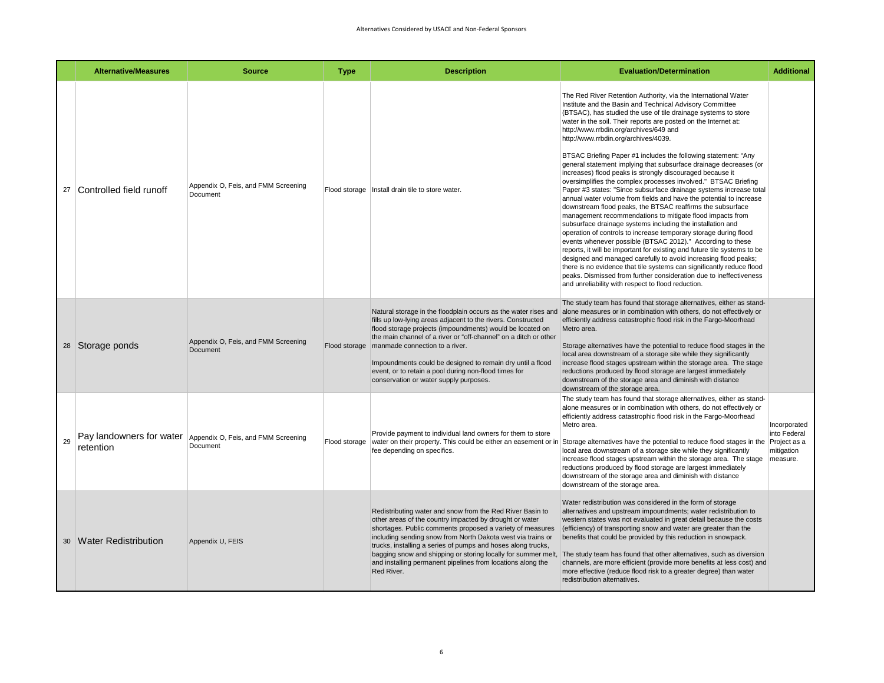|    | <b>Alternative/Measures</b> | <b>Source</b>                                                            | <b>Type</b>   | <b>Description</b>                                                                                                                                                                                                                                                                                                                                                                                                                                                  | <b>Evaluation/Determination</b>                                                                                                                                                                                                                                                                                                                                                                                                                                                                                                                                                                                                                                                                                                                                                                                                                                                                                                                                                                                                                                                                                                                                                                                                                                                                                                                                                                                                                    | <b>Additional</b>                          |
|----|-----------------------------|--------------------------------------------------------------------------|---------------|---------------------------------------------------------------------------------------------------------------------------------------------------------------------------------------------------------------------------------------------------------------------------------------------------------------------------------------------------------------------------------------------------------------------------------------------------------------------|----------------------------------------------------------------------------------------------------------------------------------------------------------------------------------------------------------------------------------------------------------------------------------------------------------------------------------------------------------------------------------------------------------------------------------------------------------------------------------------------------------------------------------------------------------------------------------------------------------------------------------------------------------------------------------------------------------------------------------------------------------------------------------------------------------------------------------------------------------------------------------------------------------------------------------------------------------------------------------------------------------------------------------------------------------------------------------------------------------------------------------------------------------------------------------------------------------------------------------------------------------------------------------------------------------------------------------------------------------------------------------------------------------------------------------------------------|--------------------------------------------|
| 27 | Controlled field runoff     | Appendix O, Feis, and FMM Screening<br>Document                          | Flood storage | Install drain tile to store water.                                                                                                                                                                                                                                                                                                                                                                                                                                  | The Red River Retention Authority, via the International Water<br>Institute and the Basin and Technical Advisory Committee<br>(BTSAC), has studied the use of tile drainage systems to store<br>water in the soil. Their reports are posted on the Internet at:<br>http://www.rrbdin.org/archives/649 and<br>http://www.rrbdin.org/archives/4039.<br>BTSAC Briefing Paper #1 includes the following statement: "Any<br>general statement implying that subsurface drainage decreases (or<br>increases) flood peaks is strongly discouraged because it<br>oversimplifies the complex processes involved." BTSAC Briefing<br>Paper #3 states: "Since subsurface drainage systems increase total<br>annual water volume from fields and have the potential to increase<br>downstream flood peaks, the BTSAC reaffirms the subsurface<br>management recommendations to mitigate flood impacts from<br>subsurface drainage systems including the installation and<br>operation of controls to increase temporary storage during flood<br>events whenever possible (BTSAC 2012)." According to these<br>reports, it will be important for existing and future tile systems to be<br>designed and managed carefully to avoid increasing flood peaks;<br>there is no evidence that tile systems can significantly reduce flood<br>peaks. Dismissed from further consideration due to ineffectiveness<br>and unreliability with respect to flood reduction. |                                            |
|    | 28 Storage ponds            | Appendix O, Feis, and FMM Screening<br>Document                          | Flood storage | Natural storage in the floodplain occurs as the water rises and<br>fills up low-lying areas adjacent to the rivers. Constructed<br>flood storage projects (impoundments) would be located on<br>the main channel of a river or "off-channel" on a ditch or other<br>manmade connection to a river.<br>Impoundments could be designed to remain dry until a flood<br>event, or to retain a pool during non-flood times for<br>conservation or water supply purposes. | The study team has found that storage alternatives, either as stand-<br>alone measures or in combination with others, do not effectively or<br>efficiently address catastrophic flood risk in the Fargo-Moorhead<br>Metro area.<br>Storage alternatives have the potential to reduce flood stages in the<br>local area downstream of a storage site while they significantly<br>increase flood stages upstream within the storage area. The stage<br>reductions produced by flood storage are largest immediately<br>downstream of the storage area and diminish with distance<br>downstream of the storage area.                                                                                                                                                                                                                                                                                                                                                                                                                                                                                                                                                                                                                                                                                                                                                                                                                                  |                                            |
| 29 | retention                   | Pay landowners for water Appendix O, Feis, and FMM Screening<br>Document | Flood storage | Provide payment to individual land owners for them to store<br>water on their property. This could be either an easement or in<br>fee depending on specifics.                                                                                                                                                                                                                                                                                                       | The study team has found that storage alternatives, either as stand-<br>alone measures or in combination with others, do not effectively or<br>efficiently address catastrophic flood risk in the Fargo-Moorhead<br>Metro area.<br>Storage alternatives have the potential to reduce flood stages in the Project as a<br>local area downstream of a storage site while they significantly<br>increase flood stages upstream within the storage area. The stage   measure.<br>reductions produced by flood storage are largest immediately<br>downstream of the storage area and diminish with distance<br>downstream of the storage area.                                                                                                                                                                                                                                                                                                                                                                                                                                                                                                                                                                                                                                                                                                                                                                                                          | Incorporated<br>into Federal<br>mitigation |
|    | 30 Water Redistribution     | Appendix U, FEIS                                                         |               | Redistributing water and snow from the Red River Basin to<br>other areas of the country impacted by drought or water<br>shortages. Public comments proposed a variety of measures<br>including sending snow from North Dakota west via trains or<br>trucks, installing a series of pumps and hoses along trucks,<br>bagging snow and shipping or storing locally for summer melt,<br>and installing permanent pipelines from locations along the<br>Red River.      | Water redistribution was considered in the form of storage<br>alternatives and upstream impoundments; water redistribution to<br>western states was not evaluated in great detail because the costs<br>(efficiency) of transporting snow and water are greater than the<br>benefits that could be provided by this reduction in snowpack.<br>The study team has found that other alternatives, such as diversion<br>channels, are more efficient (provide more benefits at less cost) and<br>more effective (reduce flood risk to a greater degree) than water<br>redistribution alternatives.                                                                                                                                                                                                                                                                                                                                                                                                                                                                                                                                                                                                                                                                                                                                                                                                                                                     |                                            |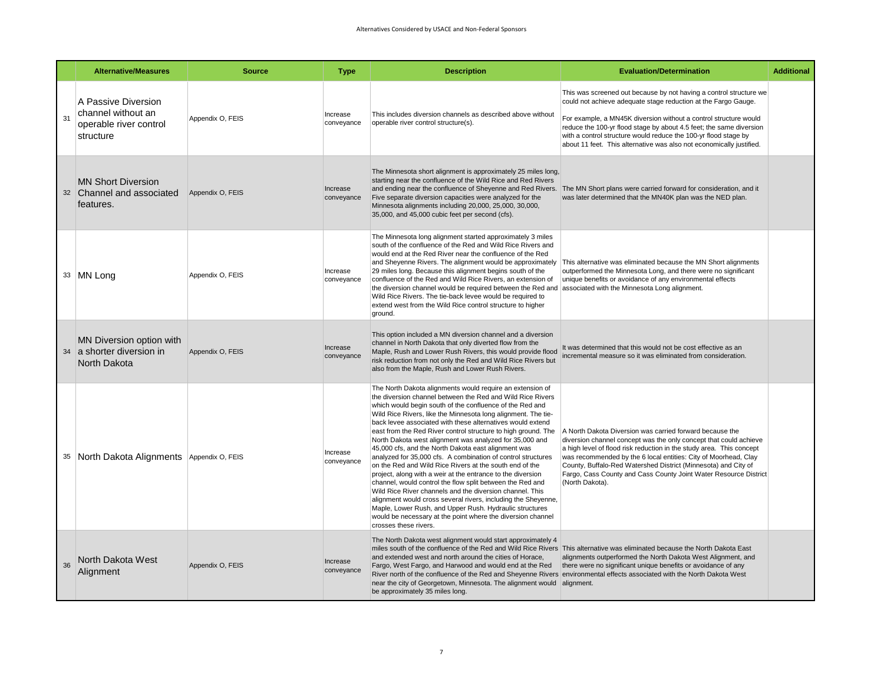|    | <b>Alternative/Measures</b>                                                      | <b>Source</b>    | <b>Type</b>            | <b>Description</b>                                                                                                                                                                                                                                                                                                                                                                                                                                                                                                                                                                                                                                                                                                                                                                                                                                                                                                                                                                                                                           | <b>Evaluation/Determination</b>                                                                                                                                                                                                                                                                                                                                                                                                   | <b>Additional</b> |
|----|----------------------------------------------------------------------------------|------------------|------------------------|----------------------------------------------------------------------------------------------------------------------------------------------------------------------------------------------------------------------------------------------------------------------------------------------------------------------------------------------------------------------------------------------------------------------------------------------------------------------------------------------------------------------------------------------------------------------------------------------------------------------------------------------------------------------------------------------------------------------------------------------------------------------------------------------------------------------------------------------------------------------------------------------------------------------------------------------------------------------------------------------------------------------------------------------|-----------------------------------------------------------------------------------------------------------------------------------------------------------------------------------------------------------------------------------------------------------------------------------------------------------------------------------------------------------------------------------------------------------------------------------|-------------------|
| 31 | A Passive Diversion<br>channel without an<br>operable river control<br>structure | Appendix O, FEIS | Increase<br>conveyance | This includes diversion channels as described above without<br>operable river control structure(s).                                                                                                                                                                                                                                                                                                                                                                                                                                                                                                                                                                                                                                                                                                                                                                                                                                                                                                                                          | This was screened out because by not having a control structure we<br>could not achieve adequate stage reduction at the Fargo Gauge.<br>For example, a MN45K diversion without a control structure would<br>reduce the 100-yr flood stage by about 4.5 feet; the same diversion<br>with a control structure would reduce the 100-yr flood stage by<br>about 11 feet. This alternative was also not economically justified.        |                   |
|    | <b>MN Short Diversion</b><br>32 Channel and associated<br>features.              | Appendix O, FEIS | Increase<br>conveyance | The Minnesota short alignment is approximately 25 miles long,<br>starting near the confluence of the Wild Rice and Red Rivers<br>Five separate diversion capacities were analyzed for the<br>Minnesota alignments including 20,000, 25,000, 30,000,<br>35,000, and 45,000 cubic feet per second (cfs).                                                                                                                                                                                                                                                                                                                                                                                                                                                                                                                                                                                                                                                                                                                                       | and ending near the confluence of Sheyenne and Red Rivers. The MN Short plans were carried forward for consideration, and it<br>was later determined that the MN40K plan was the NED plan.                                                                                                                                                                                                                                        |                   |
|    | 33 MN Long                                                                       | Appendix O, FEIS | Increase<br>conveyance | The Minnesota long alignment started approximately 3 miles<br>south of the confluence of the Red and Wild Rice Rivers and<br>would end at the Red River near the confluence of the Red<br>and Sheyenne Rivers. The alignment would be approximately<br>29 miles long. Because this alignment begins south of the<br>confluence of the Red and Wild Rice Rivers, an extension of<br>the diversion channel would be required between the Red and<br>Wild Rice Rivers. The tie-back levee would be required to<br>extend west from the Wild Rice control structure to higher<br>ground.                                                                                                                                                                                                                                                                                                                                                                                                                                                         | This alternative was eliminated because the MN Short alignments<br>outperformed the Minnesota Long, and there were no significant<br>unique benefits or avoidance of any environmental effects<br>associated with the Minnesota Long alignment.                                                                                                                                                                                   |                   |
|    | MN Diversion option with<br>34 a shorter diversion in<br>North Dakota            | Appendix O, FEIS | Increase<br>conveyance | This option included a MN diversion channel and a diversion<br>channel in North Dakota that only diverted flow from the<br>Maple, Rush and Lower Rush Rivers, this would provide flood<br>risk reduction from not only the Red and Wild Rice Rivers but<br>also from the Maple, Rush and Lower Rush Rivers.                                                                                                                                                                                                                                                                                                                                                                                                                                                                                                                                                                                                                                                                                                                                  | It was determined that this would not be cost effective as an<br>incremental measure so it was eliminated from consideration.                                                                                                                                                                                                                                                                                                     |                   |
|    | 35 North Dakota Alignments Appendix O, FEIS                                      |                  | Increase<br>conveyance | The North Dakota alignments would require an extension of<br>the diversion channel between the Red and Wild Rice Rivers<br>which would begin south of the confluence of the Red and<br>Wild Rice Rivers, like the Minnesota long alignment. The tie-<br>back levee associated with these alternatives would extend<br>east from the Red River control structure to high ground. The<br>North Dakota west alignment was analyzed for 35,000 and<br>45,000 cfs, and the North Dakota east alignment was<br>analyzed for 35,000 cfs. A combination of control structures<br>on the Red and Wild Rice Rivers at the south end of the<br>project, along with a weir at the entrance to the diversion<br>channel, would control the flow split between the Red and<br>Wild Rice River channels and the diversion channel. This<br>alignment would cross several rivers, including the Sheyenne,<br>Maple, Lower Rush, and Upper Rush. Hydraulic structures<br>would be necessary at the point where the diversion channel<br>crosses these rivers. | A North Dakota Diversion was carried forward because the<br>diversion channel concept was the only concept that could achieve<br>a high level of flood risk reduction in the study area. This concept<br>was recommended by the 6 local entities: City of Moorhead, Clay<br>County, Buffalo-Red Watershed District (Minnesota) and City of<br>Fargo, Cass County and Cass County Joint Water Resource District<br>(North Dakota). |                   |
| 36 | North Dakota West<br>Alignment                                                   | Appendix O, FEIS | Increase<br>conveyance | The North Dakota west alignment would start approximately 4<br>and extended west and north around the cities of Horace,<br>Fargo, West Fargo, and Harwood and would end at the Red<br>near the city of Georgetown, Minnesota. The alignment would alignment.<br>be approximately 35 miles long.                                                                                                                                                                                                                                                                                                                                                                                                                                                                                                                                                                                                                                                                                                                                              | miles south of the confluence of the Red and Wild Rice Rivers This alternative was eliminated because the North Dakota East<br>alignments outperformed the North Dakota West Alignment, and<br>there were no significant unique benefits or avoidance of any<br>River north of the confluence of the Red and Sheyenne Rivers environmental effects associated with the North Dakota West                                          |                   |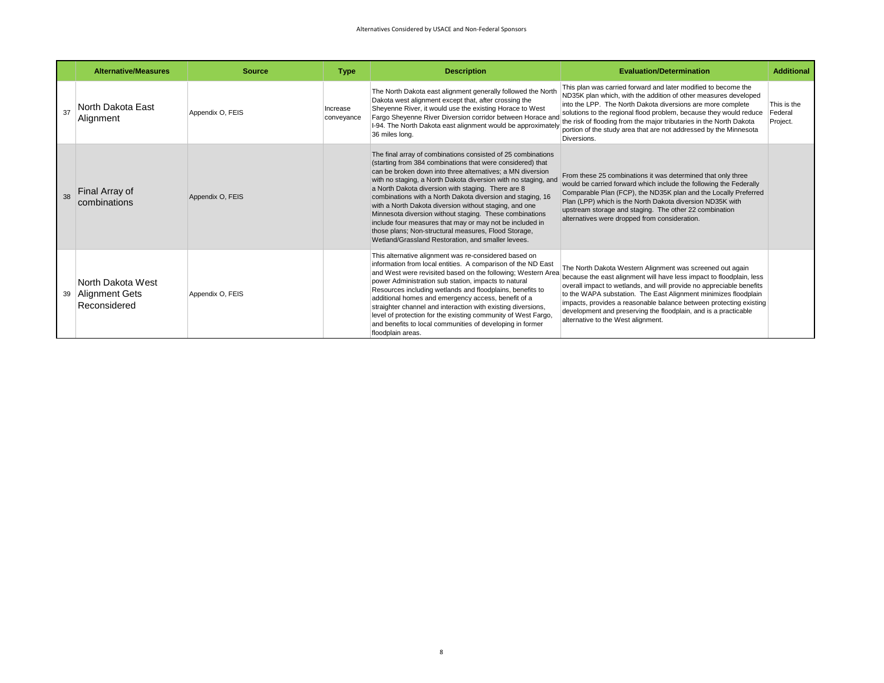|    | <b>Alternative/Measures</b>                         | <b>Source</b>    | <b>Type</b>            | <b>Description</b>                                                                                                                                                                                                                                                                                                                                                                                                                                                                                                                                                                                                                                                            | <b>Evaluation/Determination</b>                                                                                                                                                                                                                                                                                                                                                                                                                             | <b>Additional</b>                  |
|----|-----------------------------------------------------|------------------|------------------------|-------------------------------------------------------------------------------------------------------------------------------------------------------------------------------------------------------------------------------------------------------------------------------------------------------------------------------------------------------------------------------------------------------------------------------------------------------------------------------------------------------------------------------------------------------------------------------------------------------------------------------------------------------------------------------|-------------------------------------------------------------------------------------------------------------------------------------------------------------------------------------------------------------------------------------------------------------------------------------------------------------------------------------------------------------------------------------------------------------------------------------------------------------|------------------------------------|
|    | North Dakota East<br>Alignment                      | Appendix O, FEIS | Increase<br>conveyance | The North Dakota east alignment generally followed the North<br>Dakota west alignment except that, after crossing the<br>Sheyenne River, it would use the existing Horace to West<br>Fargo Sheyenne River Diversion corridor between Horace and<br>I-94. The North Dakota east alignment would be approximately<br>36 miles long.                                                                                                                                                                                                                                                                                                                                             | This plan was carried forward and later modified to become the<br>ND35K plan which, with the addition of other measures developed<br>into the LPP. The North Dakota diversions are more complete<br>solutions to the regional flood problem, because they would reduce<br>the risk of flooding from the major tributaries in the North Dakota<br>portion of the study area that are not addressed by the Minnesota<br>Diversions.                           | This is the<br>Federal<br>Project. |
|    | Final Array of<br>combinations                      | Appendix O, FEIS |                        | The final array of combinations consisted of 25 combinations<br>(starting from 384 combinations that were considered) that<br>can be broken down into three alternatives; a MN diversion<br>with no staging, a North Dakota diversion with no staging, and<br>a North Dakota diversion with staging. There are 8<br>combinations with a North Dakota diversion and staging, 16<br>with a North Dakota diversion without staging, and one<br>Minnesota diversion without staging. These combinations<br>include four measures that may or may not be included in<br>those plans; Non-structural measures, Flood Storage,<br>Wetland/Grassland Restoration, and smaller levees. | From these 25 combinations it was determined that only three<br>would be carried forward which include the following the Federally<br>Comparable Plan (FCP), the ND35K plan and the Locally Preferred<br>Plan (LPP) which is the North Dakota diversion ND35K with<br>upstream storage and staging. The other 22 combination<br>alternatives were dropped from consideration.                                                                               |                                    |
| 39 | North Dakota West<br>Alignment Gets<br>Reconsidered | Appendix O, FEIS |                        | This alternative alignment was re-considered based on<br>information from local entities. A comparison of the ND East<br>and West were revisited based on the following; Western Area<br>power Administration sub station, impacts to natural<br>Resources including wetlands and floodplains, benefits to<br>additional homes and emergency access, benefit of a<br>straighter channel and interaction with existing diversions,<br>level of protection for the existing community of West Fargo,<br>and benefits to local communities of developing in former<br>floodplain areas.                                                                                          | The North Dakota Western Alignment was screened out again<br>because the east alignment will have less impact to floodplain, less<br>overall impact to wetlands, and will provide no appreciable benefits<br>to the WAPA substation. The East Alignment minimizes floodplain<br>impacts, provides a reasonable balance between protecting existing<br>development and preserving the floodplain, and is a practicable<br>alternative to the West alignment. |                                    |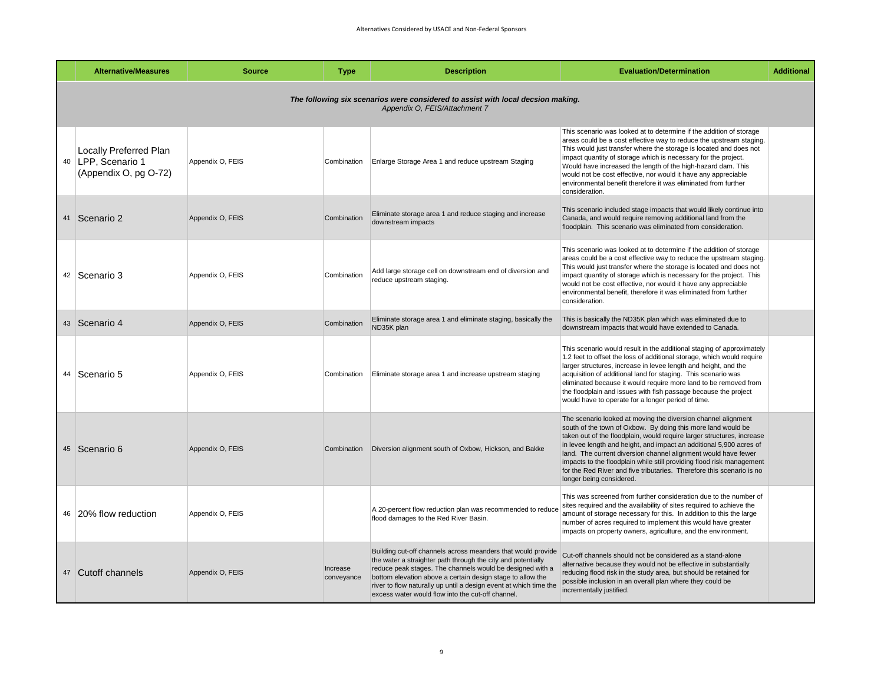| <b>Alternative/Measures</b>                                                                                       | <b>Source</b>    | <b>Type</b>            | <b>Description</b>                                                                                                                                                                                                                                                                                                                                                                | <b>Evaluation/Determination</b>                                                                                                                                                                                                                                                                                                                                                                                                                                                                                                | <b>Additional</b> |  |  |  |  |  |
|-------------------------------------------------------------------------------------------------------------------|------------------|------------------------|-----------------------------------------------------------------------------------------------------------------------------------------------------------------------------------------------------------------------------------------------------------------------------------------------------------------------------------------------------------------------------------|--------------------------------------------------------------------------------------------------------------------------------------------------------------------------------------------------------------------------------------------------------------------------------------------------------------------------------------------------------------------------------------------------------------------------------------------------------------------------------------------------------------------------------|-------------------|--|--|--|--|--|
| The following six scenarios were considered to assist with local decsion making.<br>Appendix O, FEIS/Attachment 7 |                  |                        |                                                                                                                                                                                                                                                                                                                                                                                   |                                                                                                                                                                                                                                                                                                                                                                                                                                                                                                                                |                   |  |  |  |  |  |
| Locally Preferred Plan<br>40 LPP, Scenario 1<br>(Appendix O, pg O-72)                                             | Appendix O, FEIS | Combination            | Enlarge Storage Area 1 and reduce upstream Staging                                                                                                                                                                                                                                                                                                                                | This scenario was looked at to determine if the addition of storage<br>areas could be a cost effective way to reduce the upstream staging.<br>This would just transfer where the storage is located and does not<br>impact quantity of storage which is necessary for the project.<br>Would have increased the length of the high-hazard dam. This<br>would not be cost effective, nor would it have any appreciable<br>environmental benefit therefore it was eliminated from further<br>consideration.                       |                   |  |  |  |  |  |
| 41 Scenario 2                                                                                                     | Appendix O, FEIS | Combination            | Eliminate storage area 1 and reduce staging and increase<br>downstream impacts                                                                                                                                                                                                                                                                                                    | This scenario included stage impacts that would likely continue into<br>Canada, and would require removing additional land from the<br>floodplain. This scenario was eliminated from consideration.                                                                                                                                                                                                                                                                                                                            |                   |  |  |  |  |  |
| 42   Scenario 3                                                                                                   | Appendix O, FEIS | Combination            | Add large storage cell on downstream end of diversion and<br>reduce upstream staging.                                                                                                                                                                                                                                                                                             | This scenario was looked at to determine if the addition of storage<br>areas could be a cost effective way to reduce the upstream staging.<br>This would just transfer where the storage is located and does not<br>impact quantity of storage which is necessary for the project. This<br>would not be cost effective, nor would it have any appreciable<br>environmental benefit, therefore it was eliminated from further<br>consideration.                                                                                 |                   |  |  |  |  |  |
| 43 Scenario 4                                                                                                     | Appendix O, FEIS | Combination            | Eliminate storage area 1 and eliminate staging, basically the<br>ND35K plan                                                                                                                                                                                                                                                                                                       | This is basically the ND35K plan which was eliminated due to<br>downstream impacts that would have extended to Canada.                                                                                                                                                                                                                                                                                                                                                                                                         |                   |  |  |  |  |  |
| 44 Scenario 5                                                                                                     | Appendix O, FEIS | Combination            | Eliminate storage area 1 and increase upstream staging                                                                                                                                                                                                                                                                                                                            | This scenario would result in the additional staging of approximately<br>1.2 feet to offset the loss of additional storage, which would require<br>larger structures, increase in levee length and height, and the<br>acquisition of additional land for staging. This scenario was<br>eliminated because it would require more land to be removed from<br>the floodplain and issues with fish passage because the project<br>would have to operate for a longer period of time.                                               |                   |  |  |  |  |  |
| 45 Scenario 6                                                                                                     | Appendix O, FEIS | Combination            | Diversion alignment south of Oxbow, Hickson, and Bakke                                                                                                                                                                                                                                                                                                                            | The scenario looked at moving the diversion channel alignment<br>south of the town of Oxbow. By doing this more land would be<br>taken out of the floodplain, would require larger structures, increase<br>in levee length and height, and impact an additional 5,900 acres of<br>land. The current diversion channel alignment would have fewer<br>impacts to the floodplain while still providing flood risk management<br>for the Red River and five tributaries. Therefore this scenario is no<br>longer being considered. |                   |  |  |  |  |  |
| 46 20% flow reduction                                                                                             | Appendix O, FEIS |                        | A 20-percent flow reduction plan was recommended to reduce<br>flood damages to the Red River Basin.                                                                                                                                                                                                                                                                               | This was screened from further consideration due to the number of<br>sites required and the availability of sites required to achieve the<br>amount of storage necessary for this. In addition to this the large<br>number of acres required to implement this would have greater<br>impacts on property owners, agriculture, and the environment.                                                                                                                                                                             |                   |  |  |  |  |  |
| 47 Cutoff channels                                                                                                | Appendix O, FEIS | Increase<br>conveyance | Building cut-off channels across meanders that would provide<br>the water a straighter path through the city and potentially<br>reduce peak stages. The channels would be designed with a<br>bottom elevation above a certain design stage to allow the<br>river to flow naturally up until a design event at which time the<br>excess water would flow into the cut-off channel. | Cut-off channels should not be considered as a stand-alone<br>alternative because they would not be effective in substantially<br>reducing flood risk in the study area, but should be retained for<br>possible inclusion in an overall plan where they could be<br>incrementally justified.                                                                                                                                                                                                                                   |                   |  |  |  |  |  |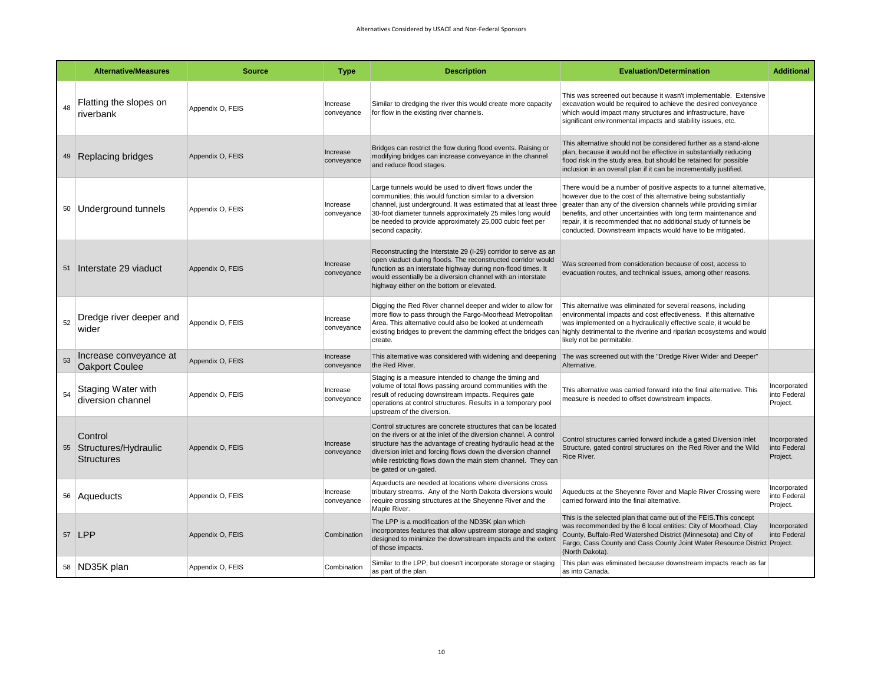|    | <b>Alternative/Measures</b>                             | <b>Source</b>    | <b>Type</b>            | <b>Description</b>                                                                                                                                                                                                                                                                                                                                            | <b>Evaluation/Determination</b>                                                                                                                                                                                                                                                                                                                                                                                    | <b>Additional</b>                        |
|----|---------------------------------------------------------|------------------|------------------------|---------------------------------------------------------------------------------------------------------------------------------------------------------------------------------------------------------------------------------------------------------------------------------------------------------------------------------------------------------------|--------------------------------------------------------------------------------------------------------------------------------------------------------------------------------------------------------------------------------------------------------------------------------------------------------------------------------------------------------------------------------------------------------------------|------------------------------------------|
| 48 | Flatting the slopes on<br>riverbank                     | Appendix O, FEIS | Increase<br>conveyance | Similar to dredging the river this would create more capacity<br>for flow in the existing river channels.                                                                                                                                                                                                                                                     | This was screened out because it wasn't implementable. Extensive<br>excavation would be required to achieve the desired conveyance<br>which would impact many structures and infrastructure, have<br>significant environmental impacts and stability issues, etc.                                                                                                                                                  |                                          |
|    | 49 Replacing bridges                                    | Appendix O, FEIS | Increase<br>conveyance | Bridges can restrict the flow during flood events. Raising or<br>modifying bridges can increase conveyance in the channel<br>and reduce flood stages.                                                                                                                                                                                                         | This alternative should not be considered further as a stand-alone<br>plan, because it would not be effective in substantially reducing<br>flood risk in the study area, but should be retained for possible<br>inclusion in an overall plan if it can be incrementally justified.                                                                                                                                 |                                          |
|    | 50 Underground tunnels                                  | Appendix O, FEIS | Increase<br>conveyance | Large tunnels would be used to divert flows under the<br>communities; this would function similar to a diversion<br>channel, just underground. It was estimated that at least three<br>30-foot diameter tunnels approximately 25 miles long would<br>be needed to provide approximately 25,000 cubic feet per<br>second capacity.                             | There would be a number of positive aspects to a tunnel alternative,<br>however due to the cost of this alternative being substantially<br>greater than any of the diversion channels while providing similar<br>benefits, and other uncertainties with long term maintenance and<br>repair, it is recommended that no additional study of tunnels be<br>conducted. Downstream impacts would have to be mitigated. |                                          |
| 51 | Interstate 29 viaduct                                   | Appendix O, FEIS | Increase<br>conveyance | Reconstructing the Interstate 29 (I-29) corridor to serve as an<br>open viaduct during floods. The reconstructed corridor would<br>function as an interstate highway during non-flood times. It<br>would essentially be a diversion channel with an interstate<br>highway either on the bottom or elevated.                                                   | Was screened from consideration because of cost, access to<br>evacuation routes, and technical issues, among other reasons.                                                                                                                                                                                                                                                                                        |                                          |
| 52 | Dredge river deeper and<br>wider                        | Appendix O, FEIS | Increase<br>conveyance | Digging the Red River channel deeper and wider to allow for<br>more flow to pass through the Fargo-Moorhead Metropolitan<br>Area. This alternative could also be looked at underneath<br>create.                                                                                                                                                              | This alternative was eliminated for several reasons, including<br>environmental impacts and cost effectiveness. If this alternative<br>was implemented on a hydraulically effective scale, it would be<br>existing bridges to prevent the damming effect the bridges can highly detrimental to the riverine and riparian ecosystems and would<br>likely not be permitable.                                         |                                          |
| 53 | Increase conveyance at<br><b>Oakport Coulee</b>         | Appendix O, FEIS | Increase<br>conveyance | This alternative was considered with widening and deepening<br>the Red River.                                                                                                                                                                                                                                                                                 | The was screened out with the "Dredge River Wider and Deeper"<br>Alternative.                                                                                                                                                                                                                                                                                                                                      |                                          |
| 54 | Staging Water with<br>diversion channel                 | Appendix O, FEIS | Increase<br>conveyance | Staging is a measure intended to change the timing and<br>volume of total flows passing around communities with the<br>result of reducing downstream impacts. Requires gate<br>operations at control structures. Results in a temporary pool<br>upstream of the diversion.                                                                                    | This alternative was carried forward into the final alternative. This<br>measure is needed to offset downstream impacts.                                                                                                                                                                                                                                                                                           | Incorporated<br>into Federal<br>Project. |
|    | Control<br>55 Structures/Hydraulic<br><b>Structures</b> | Appendix O, FEIS | Increase<br>conveyance | Control structures are concrete structures that can be located<br>on the rivers or at the inlet of the diversion channel. A control<br>structure has the advantage of creating hydraulic head at the<br>diversion inlet and forcing flows down the diversion channel<br>while restricting flows down the main stem channel. They car<br>be gated or un-gated. | Control structures carried forward include a gated Diversion Inlet<br>Structure, gated control structures on the Red River and the Wild<br>Rice River.                                                                                                                                                                                                                                                             | Incorporated<br>into Federal<br>Project. |
|    | 56 Aqueducts                                            | Appendix O, FEIS | Increase<br>conveyance | Aqueducts are needed at locations where diversions cross<br>tributary streams. Any of the North Dakota diversions would<br>require crossing structures at the Sheyenne River and the<br>Maple River.                                                                                                                                                          | Aqueducts at the Sheyenne River and Maple River Crossing were<br>carried forward into the final alternative.                                                                                                                                                                                                                                                                                                       | Incorporated<br>into Federal<br>Project. |
|    | 57 LPP                                                  | Appendix O, FEIS | Combination            | The LPP is a modification of the ND35K plan which<br>incorporates features that allow upstream storage and staging<br>designed to minimize the downstream impacts and the extent<br>of those impacts.                                                                                                                                                         | This is the selected plan that came out of the FEIS. This concept<br>was recommended by the 6 local entities: City of Moorhead, Clay<br>County, Buffalo-Red Watershed District (Minnesota) and City of<br>Fargo, Cass County and Cass County Joint Water Resource District Project.<br>(North Dakota).                                                                                                             | Incorporated<br>into Federal             |
|    | 58 ND35K plan                                           | Appendix O, FEIS | Combination            | Similar to the LPP, but doesn't incorporate storage or staging<br>as part of the plan.                                                                                                                                                                                                                                                                        | This plan was eliminated because downstream impacts reach as far<br>as into Canada.                                                                                                                                                                                                                                                                                                                                |                                          |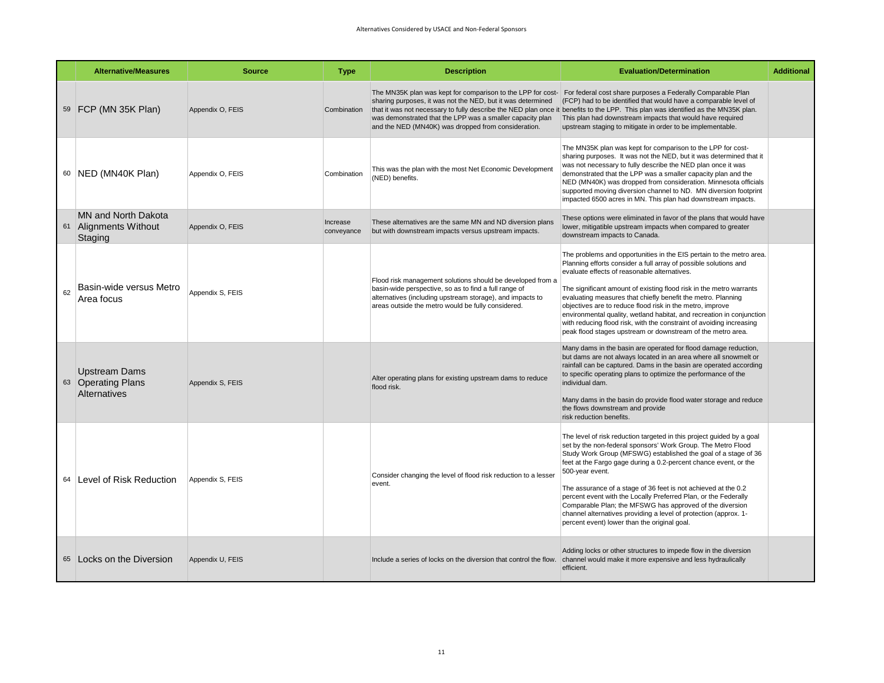|    | <b>Alternative/Measures</b>                                | <b>Source</b>    | <b>Type</b>            | <b>Description</b>                                                                                                                                                                                                                     | <b>Evaluation/Determination</b>                                                                                                                                                                                                                                                                                                                                                                                                                                                                                                                                                                                     | <b>Additional</b> |
|----|------------------------------------------------------------|------------------|------------------------|----------------------------------------------------------------------------------------------------------------------------------------------------------------------------------------------------------------------------------------|---------------------------------------------------------------------------------------------------------------------------------------------------------------------------------------------------------------------------------------------------------------------------------------------------------------------------------------------------------------------------------------------------------------------------------------------------------------------------------------------------------------------------------------------------------------------------------------------------------------------|-------------------|
|    | 59 FCP (MN 35K Plan)                                       | Appendix O, FEIS | Combination            | sharing purposes, it was not the NED, but it was determined<br>was demonstrated that the LPP was a smaller capacity plan<br>and the NED (MN40K) was dropped from consideration.                                                        | The MN35K plan was kept for comparison to the LPP for cost- For federal cost share purposes a Federally Comparable Plan<br>(FCP) had to be identified that would have a comparable level of<br>that it was not necessary to fully describe the NED plan once it benefits to the LPP. This plan was identified as the MN35K plan.<br>This plan had downstream impacts that would have required<br>upstream staging to mitigate in order to be implementable.                                                                                                                                                         |                   |
|    | 60   NED (MN40K Plan)                                      | Appendix O, FEIS | Combination            | This was the plan with the most Net Economic Development<br>(NED) benefits.                                                                                                                                                            | The MN35K plan was kept for comparison to the LPP for cost-<br>sharing purposes. It was not the NED, but it was determined that it<br>was not necessary to fully describe the NED plan once it was<br>demonstrated that the LPP was a smaller capacity plan and the<br>NED (MN40K) was dropped from consideration. Minnesota officials<br>supported moving diversion channel to ND. MN diversion footprint<br>impacted 6500 acres in MN. This plan had downstream impacts.                                                                                                                                          |                   |
|    | MN and North Dakota<br>61 Alignments Without<br>Staging    | Appendix O, FEIS | Increase<br>conveyance | These alternatives are the same MN and ND diversion plans<br>but with downstream impacts versus upstream impacts.                                                                                                                      | These options were eliminated in favor of the plans that would have<br>lower, mitigatible upstream impacts when compared to greater<br>downstream impacts to Canada.                                                                                                                                                                                                                                                                                                                                                                                                                                                |                   |
| 62 | Basin-wide versus Metro<br>Area focus                      | Appendix S, FEIS |                        | Flood risk management solutions should be developed from a<br>basin-wide perspective, so as to find a full range of<br>alternatives (including upstream storage), and impacts to<br>areas outside the metro would be fully considered. | The problems and opportunities in the EIS pertain to the metro area.<br>Planning efforts consider a full array of possible solutions and<br>evaluate effects of reasonable alternatives.<br>The significant amount of existing flood risk in the metro warrants<br>evaluating measures that chiefly benefit the metro. Planning<br>objectives are to reduce flood risk in the metro, improve<br>environmental quality, wetland habitat, and recreation in conjunction<br>with reducing flood risk, with the constraint of avoiding increasing<br>peak flood stages upstream or downstream of the metro area.        |                   |
|    | <b>Upstream Dams</b><br>63 Operating Plans<br>Alternatives | Appendix S, FEIS |                        | Alter operating plans for existing upstream dams to reduce<br>flood risk.                                                                                                                                                              | Many dams in the basin are operated for flood damage reduction,<br>but dams are not always located in an area where all snowmelt or<br>rainfall can be captured. Dams in the basin are operated according<br>to specific operating plans to optimize the performance of the<br>individual dam.<br>Many dams in the basin do provide flood water storage and reduce<br>the flows downstream and provide<br>risk reduction benefits.                                                                                                                                                                                  |                   |
| 64 | Level of Risk Reduction                                    | Appendix S, FEIS |                        | Consider changing the level of flood risk reduction to a lesser<br>event.                                                                                                                                                              | The level of risk reduction targeted in this project quided by a goal<br>set by the non-federal sponsors' Work Group. The Metro Flood<br>Study Work Group (MFSWG) established the goal of a stage of 36<br>feet at the Fargo gage during a 0.2-percent chance event, or the<br>500-year event.<br>The assurance of a stage of 36 feet is not achieved at the 0.2<br>percent event with the Locally Preferred Plan, or the Federally<br>Comparable Plan; the MFSWG has approved of the diversion<br>channel alternatives providing a level of protection (approx. 1-<br>percent event) lower than the original goal. |                   |
|    | 65 Locks on the Diversion                                  | Appendix U, FEIS |                        | Include a series of locks on the diversion that control the flow.                                                                                                                                                                      | Adding locks or other structures to impede flow in the diversion<br>channel would make it more expensive and less hydraulically<br>efficient.                                                                                                                                                                                                                                                                                                                                                                                                                                                                       |                   |